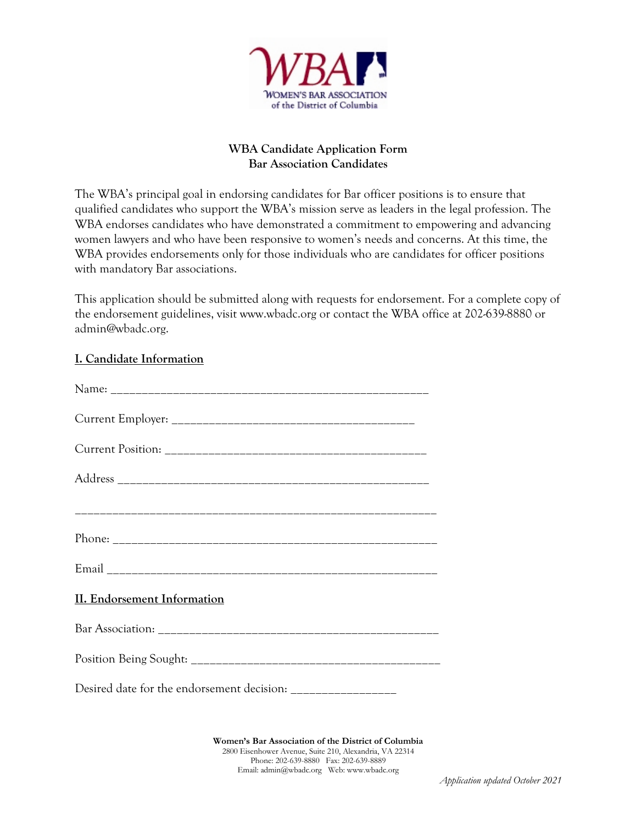

## **WBA Candidate Application Form Bar Association Candidates**

The WBA's principal goal in endorsing candidates for Bar officer positions is to ensure that qualified candidates who support the WBA's mission serve as leaders in the legal profession. The WBA endorses candidates who have demonstrated a commitment to empowering and advancing women lawyers and who have been responsive to women's needs and concerns. At this time, the WBA provides endorsements only for those individuals who are candidates for officer positions with mandatory Bar associations.

This application should be submitted along with requests for endorsement. For a complete copy of the endorsement guidelines, visit [www.wbadc.org](http://www.wbadc.org/) or contact the WBA office at 202-639-8880 or [admin@wbadc.org.](mailto:admin@wbadc.org)

# **I. Candidate Information**

| II. Endorsement Information |
|-----------------------------|
|                             |
|                             |
|                             |
|                             |

**Women's Bar Association of the District of Columbia** 2800 Eisenhower Avenue, Suite 210, Alexandria, VA 22314 Phone: 202-639-8880 Fax: 202-639-8889 Email[: admin@wbadc.org](mailto:admin@wbadc.org) Web[: www.wbadc.org](http://www.wbadc.org/)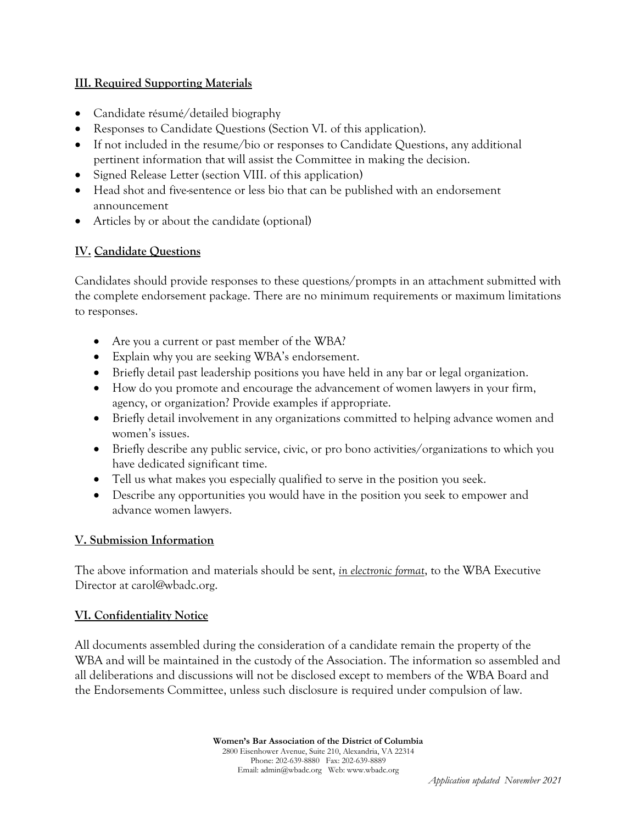## **III. Required Supporting Materials**

- Candidate résumé/detailed biography
- Responses to Candidate Questions (Section VI. of this application).
- If not included in the resume/bio or responses to Candidate Questions, any additional pertinent information that will assist the Committee in making the decision.
- Signed Release Letter (section VIII. of this application)
- Head shot and five-sentence or less bio that can be published with an endorsement announcement
- Articles by or about the candidate (optional)

# **IV. Candidate Questions**

Candidates should provide responses to these questions/prompts in an attachment submitted with the complete endorsement package. There are no minimum requirements or maximum limitations to responses.

- Are you a current or past member of the WBA?
- Explain why you are seeking WBA's endorsement.
- Briefly detail past leadership positions you have held in any bar or legal organization.
- How do you promote and encourage the advancement of women lawyers in your firm, agency, or organization? Provide examples if appropriate.
- Briefly detail involvement in any organizations committed to helping advance women and women's issues.
- Briefly describe any public service, civic, or pro bono activities/organizations to which you have dedicated significant time.
- Tell us what makes you especially qualified to serve in the position you seek.
- Describe any opportunities you would have in the position you seek to empower and advance women lawyers.

### **V. Submission Information**

The above information and materials should be sent, *in electronic format*, to the WBA Executive Director at [carol@wbadc.org.](mailto:carol@wbadc.org)

### **VI. Confidentiality Notice**

All documents assembled during the consideration of a candidate remain the property of the WBA and will be maintained in the custody of the Association. The information so assembled and all deliberations and discussions will not be disclosed except to members of the WBA Board and the Endorsements Committee, unless such disclosure is required under compulsion of law.

> **Women's Bar Association of the District of Columbia** 2800 Eisenhower Avenue, Suite 210, Alexandria, VA 22314 Phone: 202-639-8880 Fax: 202-639-8889 Email[: admin@wbadc.org](mailto:admin@wbadc.org) Web[: www.wbadc.org](http://www.wbadc.org/)